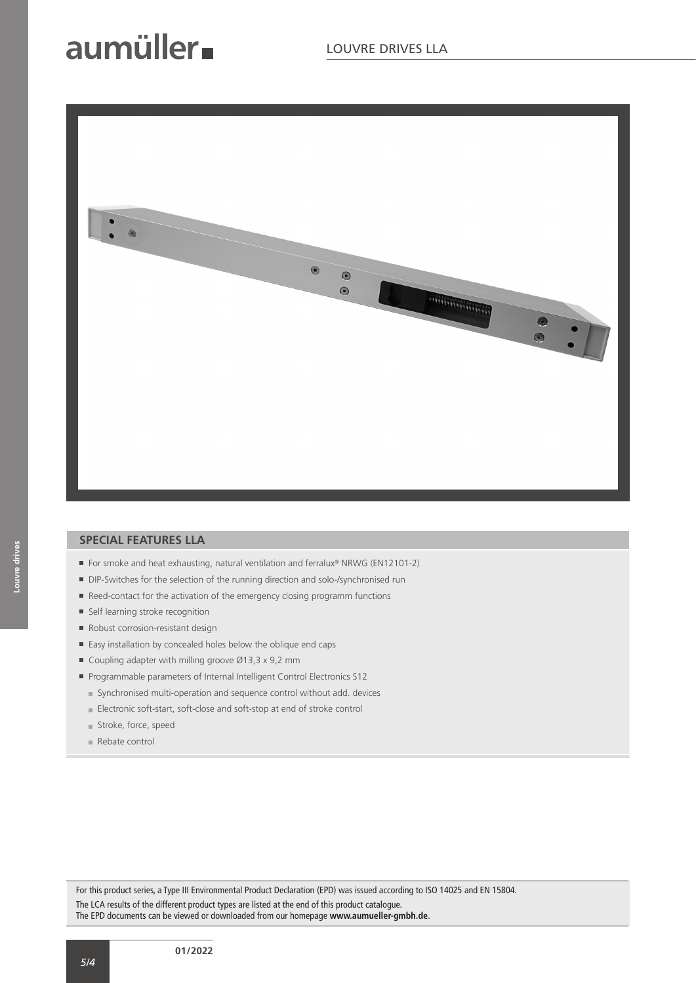## aumüller.



#### **SPECIAL FEATURES LLA**

- For smoke and heat exhausting, natural ventilation and ferralux® NRWG (EN12101-2)
- DIP-Switches for the selection of the running direction and solo-/synchronised run
- Reed-contact for the activation of the emergency closing programm functions
- Self learning stroke recognition
- Robust corrosion-resistant design
- Easy installation by concealed holes below the oblique end caps
- Coupling adapter with milling groove  $\varnothing$ 13,3 x 9,2 mm
- Programmable parameters of Internal Intelligent Control Electronics S12
	- Synchronised multi-operation and sequence control without add. devices
	- Electronic soft-start, soft-close and soft-stop at end of stroke control
	- Stroke, force, speed
	- Rebate control

For this product series, a Type III Environmental Product Declaration (EPD) was issued according to ISO 14025 and EN 15804. The LCA results of the different product types are listed at the end of this product catalogue. The EPD documents can be viewed or downloaded from our homepage **www.aumueller-gmbh.de**.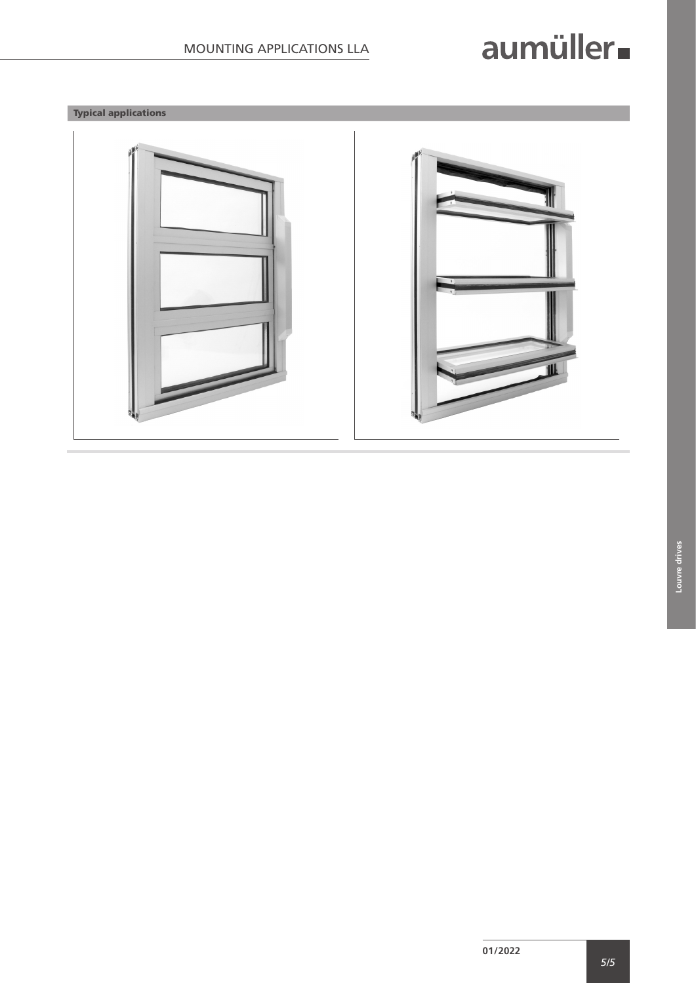# aumüller.

### Typical applications

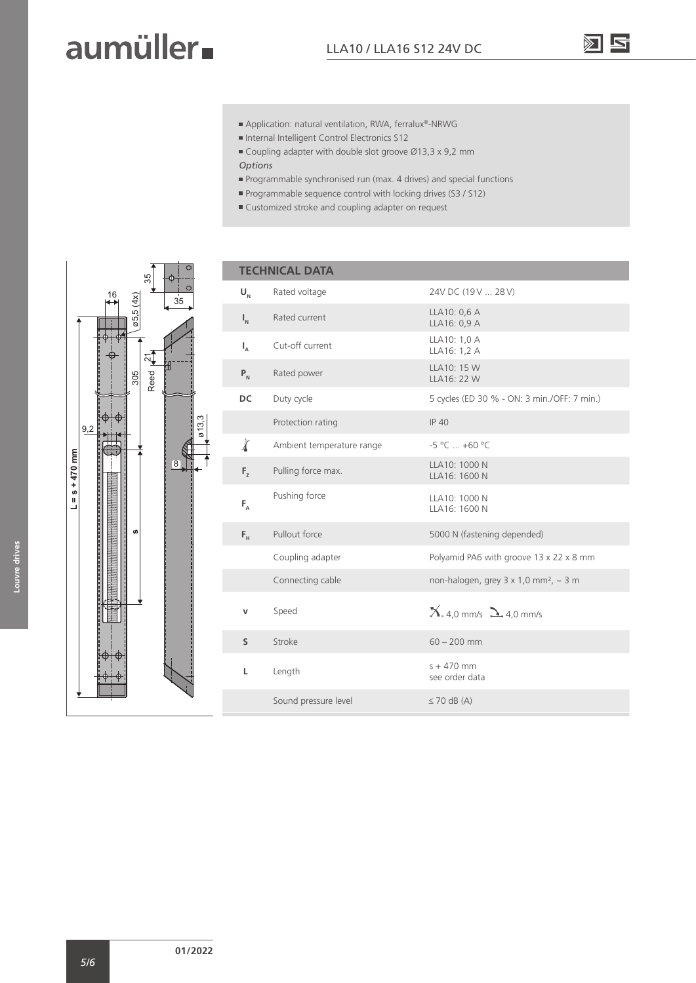### aumüller.

- Application: natural ventilation, RWA, ferralux®-NRWG
- Internal Intelligent Control Electronics S12
- Coupling adapter with double slot groove Ø13,3 x 9,2 mm
- *Options*
- Programmable synchronised run (max. 4 drives) and special functions
- **Programmable sequence control with locking drives (S3 / S12)**
- Customized stroke and coupling adapter on request



| <b>TECHNICAL DATA</b>     |                           |                                                          |  |  |  |  |  |
|---------------------------|---------------------------|----------------------------------------------------------|--|--|--|--|--|
| $U_{N}$                   | Rated voltage             | 24V DC (19 V  28 V)                                      |  |  |  |  |  |
| $\mathsf{I}_{\mathsf{N}}$ | Rated current             | LLA10: 0,6 A<br>LLA16: 0,9 A                             |  |  |  |  |  |
| $I_{A}$                   | Cut-off current           | LLA10: 1,0 A<br>LLA16: 1,2 A                             |  |  |  |  |  |
| $P_{N}$                   | Rated power               | LLA10: 15 W<br>LLA16: 22 W                               |  |  |  |  |  |
| DC                        | Duty cycle                | 5 cycles (ED 30 % - ON: 3 min./OFF: 7 min.)              |  |  |  |  |  |
|                           | Protection rating         | <b>IP 40</b>                                             |  |  |  |  |  |
| $\chi$                    | Ambient temperature range | $-5^{\circ}$ C $+60^{\circ}$ C                           |  |  |  |  |  |
| F <sub>2</sub>            | Pulling force max.        | LLA10: 1000 N<br>LLA16: 1600 N                           |  |  |  |  |  |
| $F_A$                     | Pushing force             | LLA10: 1000 N<br>LLA16: 1600 N                           |  |  |  |  |  |
| $F_{\rm H}$               | Pullout force             | 5000 N (fastening depended)                              |  |  |  |  |  |
|                           | Coupling adapter          | Polyamid PA6 with groove 13 x 22 x 8 mm                  |  |  |  |  |  |
|                           | Connecting cable          | non-halogen, grey $3 \times 1,0$ mm <sup>2</sup> , ~ 3 m |  |  |  |  |  |
|                           | Speed                     | $X_{.4,0}$ mm/s $\sum_{.4,0}$ mm/s                       |  |  |  |  |  |
| S                         | Stroke                    | $60 - 200$ mm                                            |  |  |  |  |  |
| L                         | Length                    | $s + 470$ mm<br>see order data                           |  |  |  |  |  |
|                           | Sound pressure level      | $\leq$ 70 dB (A)                                         |  |  |  |  |  |